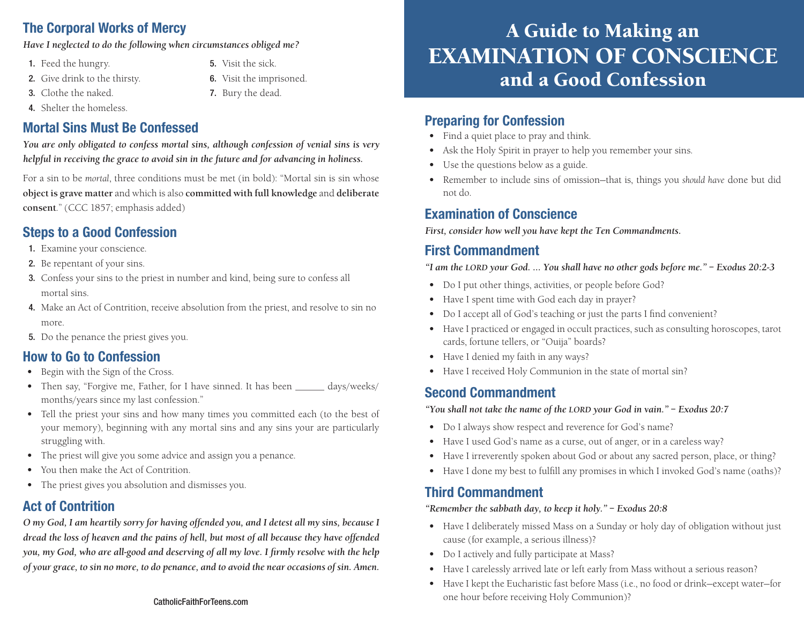# The Corporal Works of Mercy

*Have I neglected to do the following when circumstances obliged me?* 

- 1. Feed the hungry.
- 2. Give drink to the thirsty.
- 3. Clothe the naked.
- 4. Shelter the homeless.

# Mortal Sins Must Be Confessed

*You are only obligated to confess mortal sins, although confession of venial sins is very helpful in receiving the grace to avoid sin in the future and for advancing in holiness.* 

5. Visit the sick.

6. Visit the imprisoned. 7. Bury the dead.

For a sin to be *mortal*, three conditions must be met (in bold): "Mortal sin is sin whose **object is grave matter** and which is also **committed with full knowledge** and **deliberate consent**." (CCC 1857; emphasis added)

# Steps to a Good Confession

- 1. Examine your conscience.
- 2. Be repentant of your sins.
- 3. Confess your sins to the priest in number and kind, being sure to confess all mortal sins.
- 4. Make an Act of Contrition, receive absolution from the priest, and resolve to sin no more.
- 5. Do the penance the priest gives you.

# How to Go to Confession

- Begin with the Sign of the Cross.
- Then say, "Forgive me, Father, for I have sinned. It has been \_\_\_\_\_\_\_ days/weeks/ months/years since my last confession."
- Tell the priest your sins and how many times you committed each (to the best of your memory), beginning with any mortal sins and any sins your are particularly struggling with.
- The priest will give you some advice and assign you a penance.
- You then make the Act of Contrition.
- The priest gives you absolution and dismisses you.

# Act of Contrition

*O my God, I am heartily sorry for having offended you, and I detest all my sins, because I dread the loss of heaven and the pains of hell, but most of all because they have offended you, my God, who are all-good and deserving of all my love. I firmly resolve with the help of your grace, to sin no more, to do penance, and to avoid the near occasions of sin. Amen.*

#### CatholicFaithForTeens.com

# A Guide to Making an EXAMINATION OF CONSCIENCE and a Good Confession

### Preparing for Confession

- Find a quiet place to pray and think.
- Ask the Holy Spirit in prayer to help you remember your sins.
- Use the questions below as a guide.
- Remember to include sins of omission—that is, things you *should have* done but did not do.

### Examination of Conscience

*First, consider how well you have kept the Ten Commandments.*

# First Commandment

*"I am the lord your God. … You shall have no other gods before me." – Exodus 20:2-3*

- Do I put other things, activities, or people before God?
- Have I spent time with God each day in prayer?
- Do I accept all of God's teaching or just the parts I find convenient?
- Have I practiced or engaged in occult practices, such as consulting horoscopes, tarot cards, fortune tellers, or "Ouija" boards?
- Have I denied my faith in any ways?
- Have I received Holy Communion in the state of mortal sin?

# Second Commandment

*"You shall not take the name of the lord your God in vain." – Exodus 20:7*

- Do I always show respect and reverence for God's name?
- Have I used God's name as a curse, out of anger, or in a careless way?
- Have I irreverently spoken about God or about any sacred person, place, or thing?
- Have I done my best to fulfill any promises in which I invoked God's name (oaths)?

# Third Commandment

#### *"Remember the sabbath day, to keep it holy." – Exodus 20:8*

- Have I deliberately missed Mass on a Sunday or holy day of obligation without just cause (for example, a serious illness)?
- Do I actively and fully participate at Mass?
- Have I carelessly arrived late or left early from Mass without a serious reason?
- Have I kept the Eucharistic fast before Mass (i.e., no food or drink—except water—for one hour before receiving Holy Communion)?